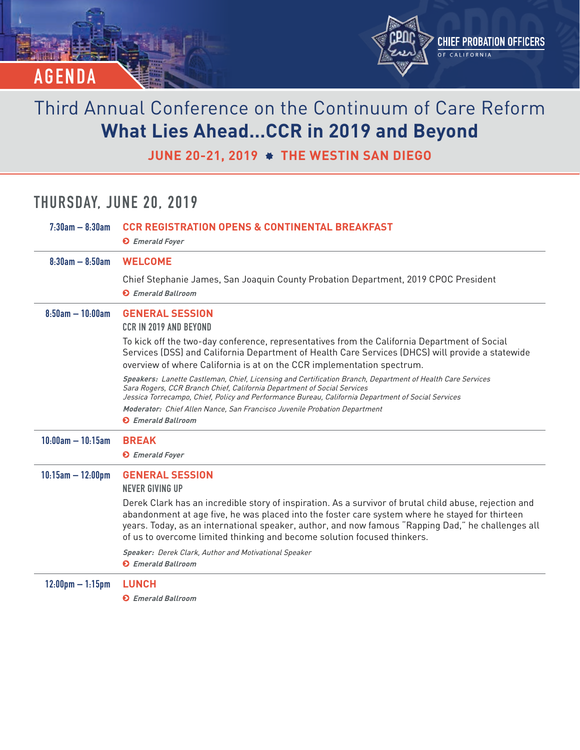

**JUNE 20-21, 2019 THE WESTIN SAN DIEGO**

## **THURSDAY, JUNE 20, 2019**

| $7:30am - 8:30am$                  | <b>CCR REGISTRATION OPENS &amp; CONTINENTAL BREAKFAST</b><br><b>O</b> Emerald Foyer                                                                                                                                                                                                                                                                                                         |
|------------------------------------|---------------------------------------------------------------------------------------------------------------------------------------------------------------------------------------------------------------------------------------------------------------------------------------------------------------------------------------------------------------------------------------------|
| $8:30am - 8:50am$                  | <b>WELCOME</b>                                                                                                                                                                                                                                                                                                                                                                              |
|                                    | Chief Stephanie James, San Joaquin County Probation Department, 2019 CPOC President<br><b>O</b> Emerald Ballroom                                                                                                                                                                                                                                                                            |
| $8.50$ am $-10.00$ am              | <b>GENERAL SESSION</b><br><b>CCR IN 2019 AND BEYOND</b>                                                                                                                                                                                                                                                                                                                                     |
|                                    | To kick off the two-day conference, representatives from the California Department of Social<br>Services (DSS) and California Department of Health Care Services (DHCS) will provide a statewide<br>overview of where California is at on the CCR implementation spectrum.                                                                                                                  |
|                                    | Speakers: Lanette Castleman, Chief, Licensing and Certification Branch, Department of Health Care Services<br>Sara Rogers, CCR Branch Chief, California Department of Social Services<br>Jessica Torrecampo, Chief, Policy and Performance Bureau, California Department of Social Services                                                                                                 |
|                                    | Moderator: Chief Allen Nance, San Francisco Juvenile Probation Department                                                                                                                                                                                                                                                                                                                   |
|                                    | <b>O</b> Emerald Ballroom                                                                                                                                                                                                                                                                                                                                                                   |
| $10.00$ am $- 10.15$ am            | <b>BREAK</b>                                                                                                                                                                                                                                                                                                                                                                                |
|                                    | <b>O</b> Emerald Foyer                                                                                                                                                                                                                                                                                                                                                                      |
| $10:15$ am $- 12:00$ pm            | <b>GENERAL SESSION</b><br><b>NEVER GIVING UP</b>                                                                                                                                                                                                                                                                                                                                            |
|                                    | Derek Clark has an incredible story of inspiration. As a survivor of brutal child abuse, rejection and<br>abandonment at age five, he was placed into the foster care system where he stayed for thirteen<br>years. Today, as an international speaker, author, and now famous "Rapping Dad," he challenges all<br>of us to overcome limited thinking and become solution focused thinkers. |
|                                    | Speaker: Derek Clark, Author and Motivational Speaker<br><b>O</b> Emerald Ballroom                                                                                                                                                                                                                                                                                                          |
| $12:00 \text{pm} - 1:15 \text{pm}$ | <b>LUNCH</b>                                                                                                                                                                                                                                                                                                                                                                                |
|                                    | <b>D</b> Emerald Ballroom                                                                                                                                                                                                                                                                                                                                                                   |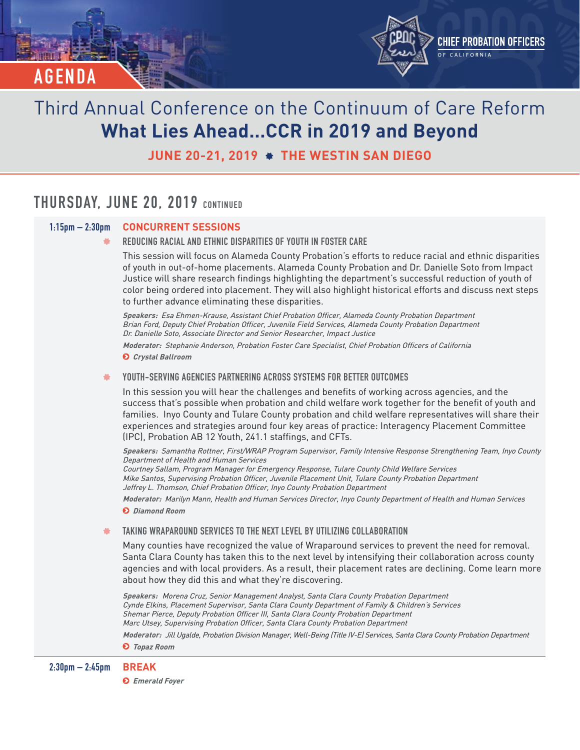

**JUNE 20-21, 2019 THE WESTIN SAN DIEGO**

### **THURSDAY, JUNE 20, 2019 CONTINUED**

### **1:15pm – 2:30pm CONCURRENT SESSIONS**

**REDUCING RACIAL AND ETHNIC DISPARITIES OF YOUTH IN FOSTER CARE**

This session will focus on Alameda County Probation's efforts to reduce racial and ethnic disparities of youth in out-of-home placements. Alameda County Probation and Dr. Danielle Soto from Impact Justice will share research findings highlighting the department's successful reduction of youth of color being ordered into placement. They will also highlight historical efforts and discuss next steps to further advance eliminating these disparities.

**Speakers:** Esa Ehmen-Krause, Assistant Chief Probation Officer, Alameda County Probation Department Brian Ford, Deputy Chief Probation Officer, Juvenile Field Services, Alameda County Probation Department Dr. Danielle Soto, Associate Director and Senior Researcher, Impact Justice

**Moderator:** Stephanie Anderson, Probation Foster Care Specialist, Chief Probation Officers of California  **Crystal Ballroom**

**YOUTH-SERVING AGENCIES PARTNERING ACROSS SYSTEMS FOR BETTER OUTCOMES** 諅

In this session you will hear the challenges and benefits of working across agencies, and the success that's possible when probation and child welfare work together for the benefit of youth and families. Inyo County and Tulare County probation and child welfare representatives will share their experiences and strategies around four key areas of practice: Interagency Placement Committee (IPC), Probation AB 12 Youth, 241.1 staffings, and CFTs.

**Speakers:** Samantha Rottner, First/WRAP Program Supervisor, Family Intensive Response Strengthening Team, Inyo County Department of Health and Human Services Courtney Sallam, Program Manager for Emergency Response, Tulare County Child Welfare Services Mike Santos, Supervising Probation Officer, Juvenile Placement Unit, Tulare County Probation Department Jeffrey L. Thomson, Chief Probation Officer, Inyo County Probation Department

**Moderator:** Marilyn Mann, Health and Human Services Director, Inyo County Department of Health and Human Services  **Diamond Room**

**TAKING WRAPAROUND SERVICES TO THE NEXT LEVEL BY UTILIZING COLLABORATION**

Many counties have recognized the value of Wraparound services to prevent the need for removal. Santa Clara County has taken this to the next level by intensifying their collaboration across county agencies and with local providers. As a result, their placement rates are declining. Come learn more about how they did this and what they're discovering.

**Speakers:** Morena Cruz, Senior Management Analyst, Santa Clara County Probation Department Cynde Elkins, Placement Supervisor, Santa Clara County Department of Family & Children's Services Shemar Pierce, Deputy Probation Officer III, Santa Clara County Probation Department Marc Utsey, Supervising Probation Officer, Santa Clara County Probation Department **Moderator:** Jill Ugalde, Probation Division Manager, Well-Being (Title IV-E) Services, Santa Clara County Probation Department

 **Topaz Room**

 **Emerald Foyer**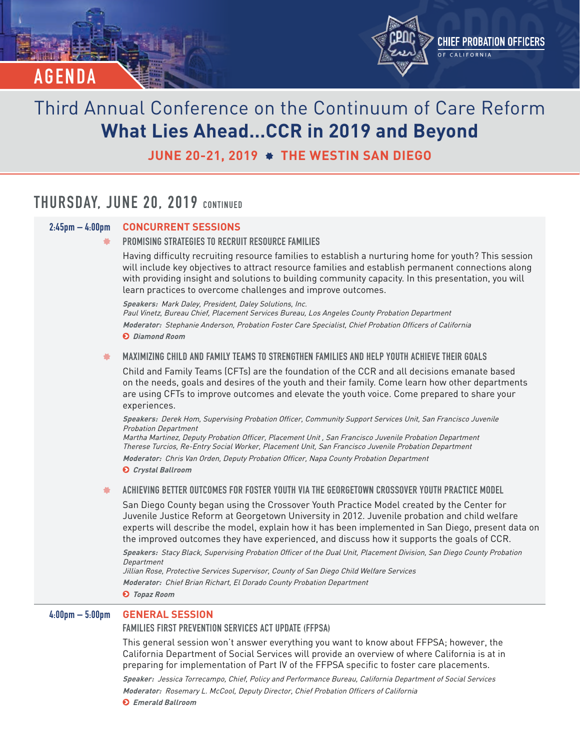

**JUNE 20-21, 2019 THE WESTIN SAN DIEGO**

### **THURSDAY, JUNE 20, 2019 CONTINUED**

### **2:45pm – 4:00pm CONCURRENT SESSIONS**

**PROMISING STRATEGIES TO RECRUIT RESOURCE FAMILIES**

Having difficulty recruiting resource families to establish a nurturing home for youth? This session will include key objectives to attract resource families and establish permanent connections along with providing insight and solutions to building community capacity. In this presentation, you will learn practices to overcome challenges and improve outcomes.

**Speakers:** Mark Daley, President, Daley Solutions, Inc. Paul Vinetz, Bureau Chief, Placement Services Bureau, Los Angeles County Probation Department **Moderator:** Stephanie Anderson, Probation Foster Care Specialist, Chief Probation Officers of California  **Diamond Room**

#### **MAXIMIZING CHILD AND FAMILY TEAMS TO STRENGTHEN FAMILIES AND HELP YOUTH ACHIEVE THEIR GOALS**

Child and Family Teams (CFTs) are the foundation of the CCR and all decisions emanate based on the needs, goals and desires of the youth and their family. Come learn how other departments are using CFTs to improve outcomes and elevate the youth voice. Come prepared to share your experiences.

**Speakers:** Derek Hom, Supervising Probation Officer, Community Support Services Unit, San Francisco Juvenile Probation Department

Martha Martinez, Deputy Probation Officer, Placement Unit , San Francisco Juvenile Probation Department Therese Turcios, Re-Entry Social Worker, Placement Unit, San Francisco Juvenile Probation Department **Moderator:** Chris Van Orden, Deputy Probation Officer, Napa County Probation Department

 **Crystal Ballroom**

#### **ACHIEVING BETTER OUTCOMES FOR FOSTER YOUTH VIA THE GEORGETOWN CROSSOVER YOUTH PRACTICE MODEL**

San Diego County began using the Crossover Youth Practice Model created by the Center for Juvenile Justice Reform at Georgetown University in 2012. Juvenile probation and child welfare experts will describe the model, explain how it has been implemented in San Diego, present data on the improved outcomes they have experienced, and discuss how it supports the goals of CCR.

**Speakers:** Stacy Black, Supervising Probation Officer of the Dual Unit, Placement Division, San Diego County Probation Department

Jillian Rose, Protective Services Supervisor, County of San Diego Child Welfare Services **Moderator:** Chief Brian Richart, El Dorado County Probation Department

 **Topaz Room**

#### **4:00pm – 5:00pm GENERAL SESSION**

#### **FAMILIES FIRST PREVENTION SERVICES ACT UPDATE (FFPSA)**

This general session won't answer everything you want to know about FFPSA; however, the California Department of Social Services will provide an overview of where California is at in preparing for implementation of Part IV of the FFPSA specific to foster care placements.

**Speaker:** Jessica Torrecampo, Chief, Policy and Performance Bureau, California Department of Social Services

**Moderator:** Rosemary L. McCool, Deputy Director, Chief Probation Officers of California

 **Emerald Ballroom**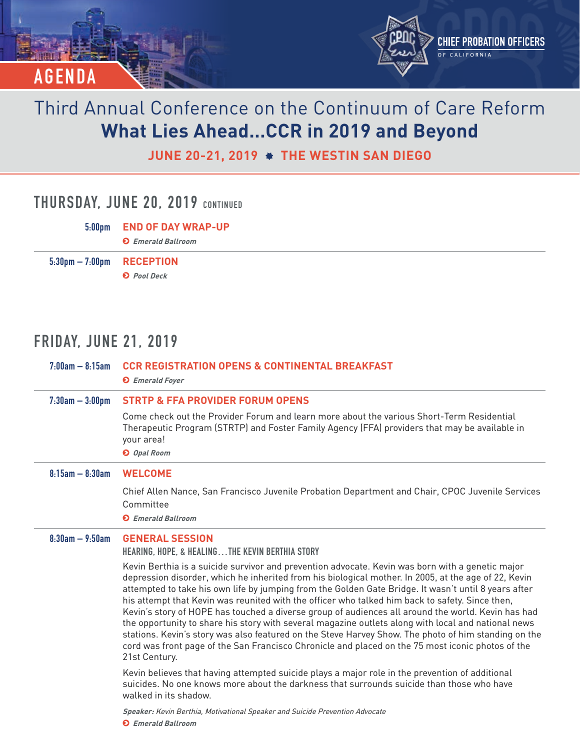

**JUNE 20-21, 2019 THE WESTIN SAN DIEGO**

### **THURSDAY, JUNE 20, 2019 CONTINUED**

**5:00pm END OF DAY WRAP-UP Emerald Ballroom 5:30pm – 7:00pm RECEPTION Pool Deck**

## **FRIDAY, JUNE 21, 2019**

| $7:00am - 8:15am$    | <b>CCR REGISTRATION OPENS &amp; CONTINENTAL BREAKFAST</b><br><b>O</b> Emerald Foyer                                                                                                                                                                                                                                                                                                                                                                                                                                                                                                                                                                                                                                                                                                                                                                            |
|----------------------|----------------------------------------------------------------------------------------------------------------------------------------------------------------------------------------------------------------------------------------------------------------------------------------------------------------------------------------------------------------------------------------------------------------------------------------------------------------------------------------------------------------------------------------------------------------------------------------------------------------------------------------------------------------------------------------------------------------------------------------------------------------------------------------------------------------------------------------------------------------|
| $7:30$ am $-3:00$ pm | <b>STRTP &amp; FFA PROVIDER FORUM OPENS</b><br>Come check out the Provider Forum and learn more about the various Short-Term Residential<br>Therapeutic Program (STRTP) and Foster Family Agency (FFA) providers that may be available in<br>your area!                                                                                                                                                                                                                                                                                                                                                                                                                                                                                                                                                                                                        |
|                      | O Opal Room                                                                                                                                                                                                                                                                                                                                                                                                                                                                                                                                                                                                                                                                                                                                                                                                                                                    |
| $8:15am - 8:30am$    | <b>WELCOME</b>                                                                                                                                                                                                                                                                                                                                                                                                                                                                                                                                                                                                                                                                                                                                                                                                                                                 |
|                      | Chief Allen Nance, San Francisco Juvenile Probation Department and Chair, CPOC Juvenile Services<br>Committee<br><b>O</b> Emerald Ballroom                                                                                                                                                                                                                                                                                                                                                                                                                                                                                                                                                                                                                                                                                                                     |
| $8:30am - 9:50am$    | <b>GENERAL SESSION</b>                                                                                                                                                                                                                                                                                                                                                                                                                                                                                                                                                                                                                                                                                                                                                                                                                                         |
|                      | <b>HEARING, HOPE, &amp; HEALINGTHE KEVIN BERTHIA STORY</b>                                                                                                                                                                                                                                                                                                                                                                                                                                                                                                                                                                                                                                                                                                                                                                                                     |
|                      | Kevin Berthia is a suicide survivor and prevention advocate. Kevin was born with a genetic major<br>depression disorder, which he inherited from his biological mother. In 2005, at the age of 22, Kevin<br>attempted to take his own life by jumping from the Golden Gate Bridge. It wasn't until 8 years after<br>his attempt that Kevin was reunited with the officer who talked him back to safety. Since then,<br>Kevin's story of HOPE has touched a diverse group of audiences all around the world. Kevin has had<br>the opportunity to share his story with several magazine outlets along with local and national news<br>stations. Kevin's story was also featured on the Steve Harvey Show. The photo of him standing on the<br>cord was front page of the San Francisco Chronicle and placed on the 75 most iconic photos of the<br>21st Century. |
|                      | Kevin believes that having attempted suicide plays a major role in the prevention of additional<br>suicides. No one knows more about the darkness that surrounds suicide than those who have<br>walked in its shadow.                                                                                                                                                                                                                                                                                                                                                                                                                                                                                                                                                                                                                                          |
|                      | Speaker: Kevin Berthia, Motivational Speaker and Suicide Prevention Advocate<br><b>O</b> Emerald Ballroom                                                                                                                                                                                                                                                                                                                                                                                                                                                                                                                                                                                                                                                                                                                                                      |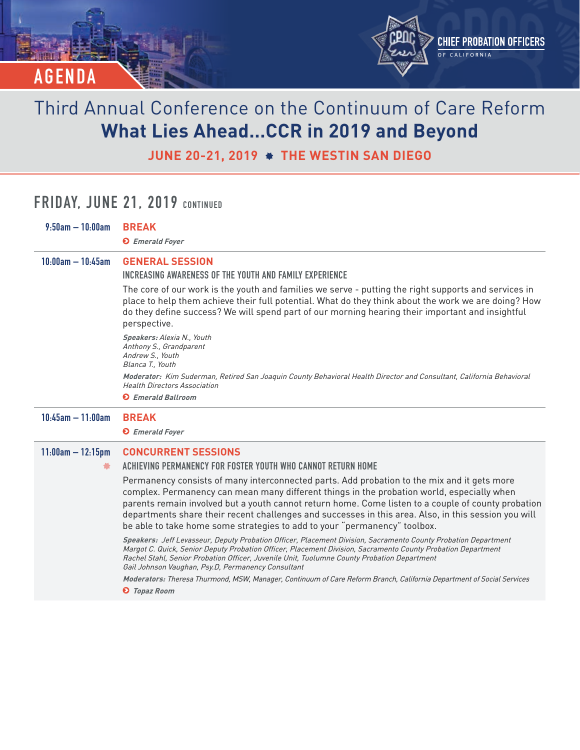

**JUNE 20-21, 2019 THE WESTIN SAN DIEGO**

## **FRIDAY, JUNE 21, 2019 CONTINUED**

| $9:50$ am $-10:00$ am   | <b>BREAK</b>                                                                                                                                                                                                                                                                                                                                                                                                                                                                          |
|-------------------------|---------------------------------------------------------------------------------------------------------------------------------------------------------------------------------------------------------------------------------------------------------------------------------------------------------------------------------------------------------------------------------------------------------------------------------------------------------------------------------------|
|                         | <b>O</b> Emerald Foyer                                                                                                                                                                                                                                                                                                                                                                                                                                                                |
| $10:00$ am $- 10:45$ am | <b>GENERAL SESSION</b><br>INCREASING AWARENESS OF THE YOUTH AND FAMILY EXPERIENCE                                                                                                                                                                                                                                                                                                                                                                                                     |
|                         | The core of our work is the youth and families we serve - putting the right supports and services in<br>place to help them achieve their full potential. What do they think about the work we are doing? How<br>do they define success? We will spend part of our morning hearing their important and insightful<br>perspective.                                                                                                                                                      |
|                         | Speakers: Alexia N., Youth<br>Anthony S., Grandparent<br>Andrew S., Youth<br>Blanca T., Youth                                                                                                                                                                                                                                                                                                                                                                                         |
|                         | Moderator: Kim Suderman, Retired San Joaquin County Behavioral Health Director and Consultant, California Behavioral<br><b>Health Directors Association</b>                                                                                                                                                                                                                                                                                                                           |
|                         | <b>O</b> Emerald Ballroom                                                                                                                                                                                                                                                                                                                                                                                                                                                             |
| $10:45$ am $-11:00$ am  | <b>BREAK</b>                                                                                                                                                                                                                                                                                                                                                                                                                                                                          |
|                         | <b>O</b> Emerald Foyer                                                                                                                                                                                                                                                                                                                                                                                                                                                                |
| $11:00am - 12:15pm$     | <b>CONCURRENT SESSIONS</b>                                                                                                                                                                                                                                                                                                                                                                                                                                                            |
|                         | ACHIEVING PERMANENCY FOR FOSTER YOUTH WHO CANNOT RETURN HOME                                                                                                                                                                                                                                                                                                                                                                                                                          |
|                         | Permanency consists of many interconnected parts. Add probation to the mix and it gets more<br>complex. Permanency can mean many different things in the probation world, especially when<br>parents remain involved but a youth cannot return home. Come listen to a couple of county probation<br>departments share their recent challenges and successes in this area. Also, in this session you will<br>be able to take home some strategies to add to your "permanency" toolbox. |
|                         | Speakers: Jeff Levasseur, Deputy Probation Officer, Placement Division, Sacramento County Probation Department<br>Margot C. Quick, Senior Deputy Probation Officer, Placement Division, Sacramento County Probation Department<br>Rachel Stahl, Senior Probation Officer, Juvenile Unit, Tuolumne County Probation Department<br>Gail Johnson Vaughan, Psy.D, Permanency Consultant                                                                                                   |
|                         | Moderators: Theresa Thurmond, MSW, Manager, Continuum of Care Reform Branch, California Department of Social Services<br><b>O</b> Topaz Room                                                                                                                                                                                                                                                                                                                                          |
|                         |                                                                                                                                                                                                                                                                                                                                                                                                                                                                                       |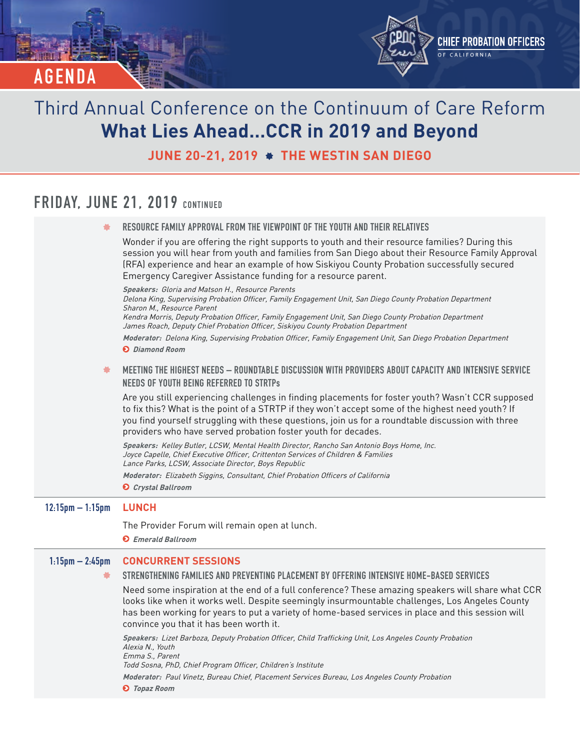

**JUNE 20-21, 2019 THE WESTIN SAN DIEGO**

## **FRIDAY, JUNE 21, 2019 CONTINUED**

| 飬                                  | RESOURCE FAMILY APPROVAL FROM THE VIEWPOINT OF THE YOUTH AND THEIR RELATIVES                                                                                                                                                                                                                                                                                                                                                                                                                                                                                                                                                                                                                                                                                                                                             |
|------------------------------------|--------------------------------------------------------------------------------------------------------------------------------------------------------------------------------------------------------------------------------------------------------------------------------------------------------------------------------------------------------------------------------------------------------------------------------------------------------------------------------------------------------------------------------------------------------------------------------------------------------------------------------------------------------------------------------------------------------------------------------------------------------------------------------------------------------------------------|
|                                    | Wonder if you are offering the right supports to youth and their resource families? During this<br>session you will hear from youth and families from San Diego about their Resource Family Approval<br>(RFA) experience and hear an example of how Siskiyou County Probation successfully secured<br>Emergency Caregiver Assistance funding for a resource parent.                                                                                                                                                                                                                                                                                                                                                                                                                                                      |
|                                    | Speakers: Gloria and Matson H., Resource Parents<br>Delona King, Supervising Probation Officer, Family Engagement Unit, San Diego County Probation Department<br>Sharon M., Resource Parent<br>Kendra Morris, Deputy Probation Officer, Family Engagement Unit, San Diego County Probation Department<br>James Roach, Deputy Chief Probation Officer, Siskiyou County Probation Department                                                                                                                                                                                                                                                                                                                                                                                                                               |
|                                    | Moderator: Delona King, Supervising Probation Officer, Family Engagement Unit, San Diego Probation Department<br><b>O</b> Diamond Room                                                                                                                                                                                                                                                                                                                                                                                                                                                                                                                                                                                                                                                                                   |
| 飬                                  | <u> MEETING THE HIGHEST NEEDS — ROUNDTABLE DISCUSSION WITH PROVIDERS ABOUT CAPACITY AND INTENSIVE SERVICE</u><br><b>NEEDS OF YOUTH BEING REFERRED TO STRTPS</b>                                                                                                                                                                                                                                                                                                                                                                                                                                                                                                                                                                                                                                                          |
|                                    | Are you still experiencing challenges in finding placements for foster youth? Wasn't CCR supposed<br>to fix this? What is the point of a STRTP if they won't accept some of the highest need youth? If<br>you find yourself struggling with these questions, join us for a roundtable discussion with three<br>providers who have served probation foster youth for decades.                                                                                                                                                                                                                                                                                                                                                                                                                                             |
|                                    | Speakers: Kelley Butler, LCSW, Mental Health Director, Rancho San Antonio Boys Home, Inc.<br>Joyce Capelle, Chief Executive Officer, Crittenton Services of Children & Families<br>Lance Parks, LCSW, Associate Director, Boys Republic<br>Moderator: Elizabeth Siggins, Consultant, Chief Probation Officers of California<br><b>O</b> Crystal Ballroom                                                                                                                                                                                                                                                                                                                                                                                                                                                                 |
|                                    |                                                                                                                                                                                                                                                                                                                                                                                                                                                                                                                                                                                                                                                                                                                                                                                                                          |
| $12:15 \text{pm} - 1:15 \text{pm}$ | <b>LUNCH</b>                                                                                                                                                                                                                                                                                                                                                                                                                                                                                                                                                                                                                                                                                                                                                                                                             |
|                                    | The Provider Forum will remain open at lunch.<br><b>O</b> Emerald Ballroom                                                                                                                                                                                                                                                                                                                                                                                                                                                                                                                                                                                                                                                                                                                                               |
| $1:15$ pm $- 2:45$ pm<br>鮝         | <b>CONCURRENT SESSIONS</b><br>STRENGTHENING FAMILIES AND PREVENTING PLACEMENT BY OFFERING INTENSIVE HOME-BASED SERVICES<br>Need some inspiration at the end of a full conference? These amazing speakers will share what CCR<br>looks like when it works well. Despite seemingly insurmountable challenges, Los Angeles County<br>has been working for years to put a variety of home-based services in place and this session will<br>convince you that it has been worth it.<br>Speakers: Lizet Barboza, Deputy Probation Officer, Child Trafficking Unit, Los Angeles County Probation<br>Alexia N., Youth<br>Emma S., Parent<br>Todd Sosna, PhD, Chief Program Officer, Children's Institute<br>Moderator: Paul Vinetz, Bureau Chief, Placement Services Bureau, Los Angeles County Probation<br><b>O</b> Topaz Room |